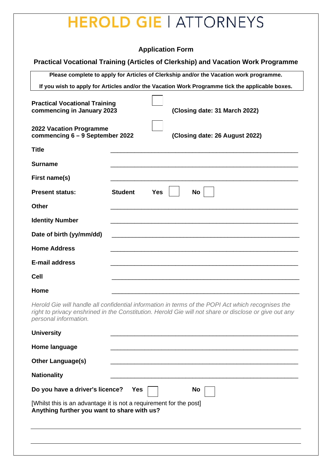## **EROLD GIE | ATTORNEYS**

## **Application Form**

## **Practical Vocational Training (Articles of Clerkship) and Vacation Work Programme**

**Please complete to apply for Articles of Clerkship and/or the Vacation work programme. If you wish to apply for Articles and/or the Vacation Work Programme tick the applicable boxes. Practical Vocational Training commencing in January 2023 (Closing date: 31 March 2022) 2022 Vacation Programme commencing 6 – 9 September 2022 (Closing date: 26 August 2022) Title** \_\_\_\_\_\_\_\_\_\_\_\_\_\_\_\_\_\_\_\_\_\_\_\_\_\_\_\_\_\_\_\_\_\_\_\_\_\_\_\_\_\_\_\_\_\_\_\_\_\_\_\_\_\_\_ **Surname** \_\_\_\_\_\_\_\_\_\_\_\_\_\_\_\_\_\_\_\_\_\_\_\_\_\_\_\_\_\_\_\_\_\_\_\_\_\_\_\_\_\_\_\_\_\_\_\_\_\_\_\_\_\_\_ First name(s) **Present status:** Student Yes No **Other** \_\_\_\_\_\_\_\_\_\_\_\_\_\_\_\_\_\_\_\_\_\_\_\_\_\_\_\_\_\_\_\_\_\_\_\_\_\_\_\_\_\_\_\_\_\_\_\_\_\_\_\_\_\_\_ **Identity Number** Date of birth (yy/mm/dd) **Home Address** \_\_\_\_\_\_\_\_\_\_\_\_\_\_\_\_\_\_\_\_\_\_\_\_\_\_\_\_\_\_\_\_\_\_\_\_\_\_\_\_\_\_\_\_\_\_\_\_\_\_\_\_\_\_\_ **E-mail address** \_\_\_\_\_\_\_\_\_\_\_\_\_\_\_\_\_\_\_\_\_\_\_\_\_\_\_\_\_\_\_\_\_\_\_\_\_\_\_\_\_\_\_\_\_\_\_\_\_\_\_\_\_\_\_ **Cell** \_\_\_\_\_\_\_\_\_\_\_\_\_\_\_\_\_\_\_\_\_\_\_\_\_\_\_\_\_\_\_\_\_\_\_\_\_\_\_\_\_\_\_\_\_\_\_\_\_\_\_\_\_\_\_

**Home** \_\_\_\_\_\_\_\_\_\_\_\_\_\_\_\_\_\_\_\_\_\_\_\_\_\_\_\_\_\_\_\_\_\_\_\_\_\_\_\_\_\_\_\_\_\_\_\_\_\_\_\_\_\_\_

*Herold Gie will handle all confidential information in terms of the POPI Act which recognises the right to privacy enshrined in the Constitution. Herold Gie will not share or disclose or give out any personal information.*

| <b>University</b>                                                                                                 |  |  |  |  |  |  |  |
|-------------------------------------------------------------------------------------------------------------------|--|--|--|--|--|--|--|
| Home language                                                                                                     |  |  |  |  |  |  |  |
| <b>Other Language(s)</b>                                                                                          |  |  |  |  |  |  |  |
| <b>Nationality</b>                                                                                                |  |  |  |  |  |  |  |
| Do you have a driver's licence?<br>Yes<br><b>No</b>                                                               |  |  |  |  |  |  |  |
| [Whilst this is an advantage it is not a requirement for the post]<br>Anything further you want to share with us? |  |  |  |  |  |  |  |
|                                                                                                                   |  |  |  |  |  |  |  |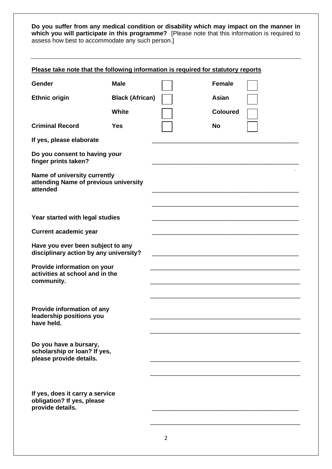**Do you suffer from any medical condition or disability which may impact on the manner in which you will participate in this programme?** [Please note that this information is required to assess how best to accommodate any such person.]

| Please take note that the following information is required for statutory reports |                        |  |                 |  |  |  |  |
|-----------------------------------------------------------------------------------|------------------------|--|-----------------|--|--|--|--|
| Gender                                                                            | <b>Male</b>            |  | <b>Female</b>   |  |  |  |  |
| <b>Ethnic origin</b>                                                              | <b>Black (African)</b> |  | Asian           |  |  |  |  |
|                                                                                   | White                  |  | <b>Coloured</b> |  |  |  |  |
| <b>Criminal Record</b>                                                            | <b>Yes</b>             |  | No              |  |  |  |  |
| If yes, please elaborate                                                          |                        |  |                 |  |  |  |  |
| Do you consent to having your<br>finger prints taken?                             |                        |  |                 |  |  |  |  |
| Name of university currently<br>attending Name of previous university<br>attended |                        |  |                 |  |  |  |  |
| Year started with legal studies                                                   |                        |  |                 |  |  |  |  |
| <b>Current academic year</b>                                                      |                        |  |                 |  |  |  |  |
| Have you ever been subject to any<br>disciplinary action by any university?       |                        |  |                 |  |  |  |  |
| Provide information on your<br>activities at school and in the<br>community.      |                        |  |                 |  |  |  |  |
| <b>Provide information of any</b><br>leadership positions you<br>have held.       |                        |  |                 |  |  |  |  |
| Do you have a bursary,<br>scholarship or loan? If yes,<br>please provide details. |                        |  |                 |  |  |  |  |
| If yes, does it carry a service<br>obligation? If yes, please<br>provide details. |                        |  |                 |  |  |  |  |